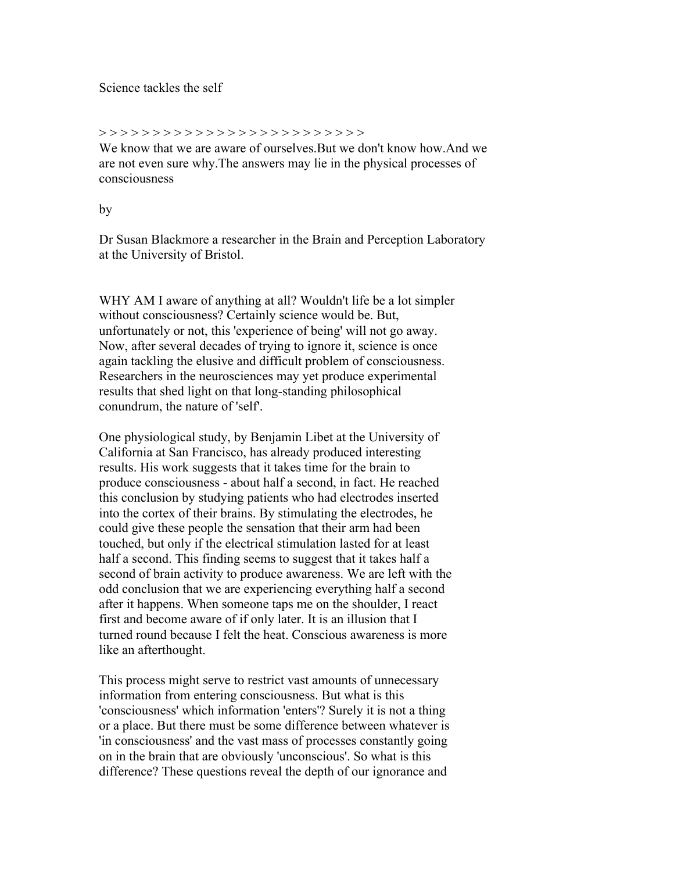## Science tackles the self

## > > > > > > > > > > > > > > > > > > > > > > > > >

We know that we are aware of ourselves.But we don't know how.And we are not even sure why.The answers may lie in the physical processes of consciousness

## by

Dr Susan Blackmore a researcher in the Brain and Perception Laboratory at the University of Bristol.

WHY AM I aware of anything at all? Wouldn't life be a lot simpler without consciousness? Certainly science would be. But, unfortunately or not, this 'experience of being' will not go away. Now, after several decades of trying to ignore it, science is once again tackling the elusive and difficult problem of consciousness. Researchers in the neurosciences may yet produce experimental results that shed light on that long-standing philosophical conundrum, the nature of 'self'.

One physiological study, by Benjamin Libet at the University of California at San Francisco, has already produced interesting results. His work suggests that it takes time for the brain to produce consciousness - about half a second, in fact. He reached this conclusion by studying patients who had electrodes inserted into the cortex of their brains. By stimulating the electrodes, he could give these people the sensation that their arm had been touched, but only if the electrical stimulation lasted for at least half a second. This finding seems to suggest that it takes half a second of brain activity to produce awareness. We are left with the odd conclusion that we are experiencing everything half a second after it happens. When someone taps me on the shoulder, I react first and become aware of if only later. It is an illusion that I turned round because I felt the heat. Conscious awareness is more like an afterthought.

This process might serve to restrict vast amounts of unnecessary information from entering consciousness. But what is this 'consciousness' which information 'enters'? Surely it is not a thing or a place. But there must be some difference between whatever is 'in consciousness' and the vast mass of processes constantly going on in the brain that are obviously 'unconscious'. So what is this difference? These questions reveal the depth of our ignorance and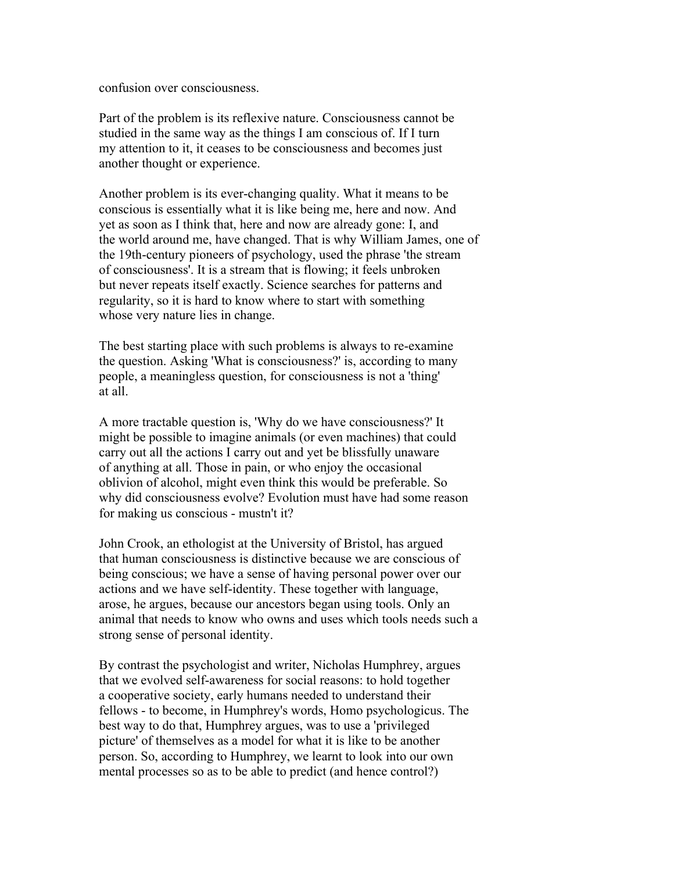confusion over consciousness.

Part of the problem is its reflexive nature. Consciousness cannot be studied in the same way as the things I am conscious of. If I turn my attention to it, it ceases to be consciousness and becomes just another thought or experience.

Another problem is its ever-changing quality. What it means to be conscious is essentially what it is like being me, here and now. And yet as soon as I think that, here and now are already gone: I, and the world around me, have changed. That is why William James, one of the 19th-century pioneers of psychology, used the phrase 'the stream of consciousness'. It is a stream that is flowing; it feels unbroken but never repeats itself exactly. Science searches for patterns and regularity, so it is hard to know where to start with something whose very nature lies in change.

The best starting place with such problems is always to re-examine the question. Asking 'What is consciousness?' is, according to many people, a meaningless question, for consciousness is not a 'thing' at all.

A more tractable question is, 'Why do we have consciousness?' It might be possible to imagine animals (or even machines) that could carry out all the actions I carry out and yet be blissfully unaware of anything at all. Those in pain, or who enjoy the occasional oblivion of alcohol, might even think this would be preferable. So why did consciousness evolve? Evolution must have had some reason for making us conscious - mustn't it?

John Crook, an ethologist at the University of Bristol, has argued that human consciousness is distinctive because we are conscious of being conscious; we have a sense of having personal power over our actions and we have self-identity. These together with language, arose, he argues, because our ancestors began using tools. Only an animal that needs to know who owns and uses which tools needs such a strong sense of personal identity.

By contrast the psychologist and writer, Nicholas Humphrey, argues that we evolved self-awareness for social reasons: to hold together a cooperative society, early humans needed to understand their fellows - to become, in Humphrey's words, Homo psychologicus. The best way to do that, Humphrey argues, was to use a 'privileged picture' of themselves as a model for what it is like to be another person. So, according to Humphrey, we learnt to look into our own mental processes so as to be able to predict (and hence control?)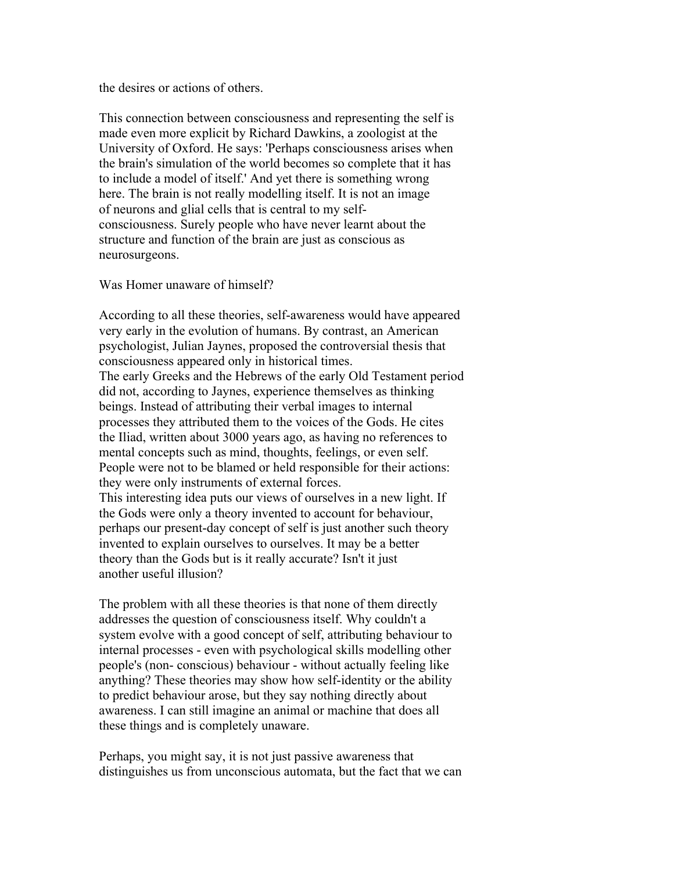the desires or actions of others.

This connection between consciousness and representing the self is made even more explicit by Richard Dawkins, a zoologist at the University of Oxford. He says: 'Perhaps consciousness arises when the brain's simulation of the world becomes so complete that it has to include a model of itself.' And yet there is something wrong here. The brain is not really modelling itself. It is not an image of neurons and glial cells that is central to my selfconsciousness. Surely people who have never learnt about the structure and function of the brain are just as conscious as neurosurgeons.

Was Homer unaware of himself?

According to all these theories, self-awareness would have appeared very early in the evolution of humans. By contrast, an American psychologist, Julian Jaynes, proposed the controversial thesis that consciousness appeared only in historical times. The early Greeks and the Hebrews of the early Old Testament period did not, according to Jaynes, experience themselves as thinking beings. Instead of attributing their verbal images to internal processes they attributed them to the voices of the Gods. He cites the Iliad, written about 3000 years ago, as having no references to mental concepts such as mind, thoughts, feelings, or even self. People were not to be blamed or held responsible for their actions: they were only instruments of external forces. This interesting idea puts our views of ourselves in a new light. If the Gods were only a theory invented to account for behaviour, perhaps our present-day concept of self is just another such theory invented to explain ourselves to ourselves. It may be a better theory than the Gods but is it really accurate? Isn't it just another useful illusion?

The problem with all these theories is that none of them directly addresses the question of consciousness itself. Why couldn't a system evolve with a good concept of self, attributing behaviour to internal processes - even with psychological skills modelling other people's (non- conscious) behaviour - without actually feeling like anything? These theories may show how self-identity or the ability to predict behaviour arose, but they say nothing directly about awareness. I can still imagine an animal or machine that does all these things and is completely unaware.

Perhaps, you might say, it is not just passive awareness that distinguishes us from unconscious automata, but the fact that we can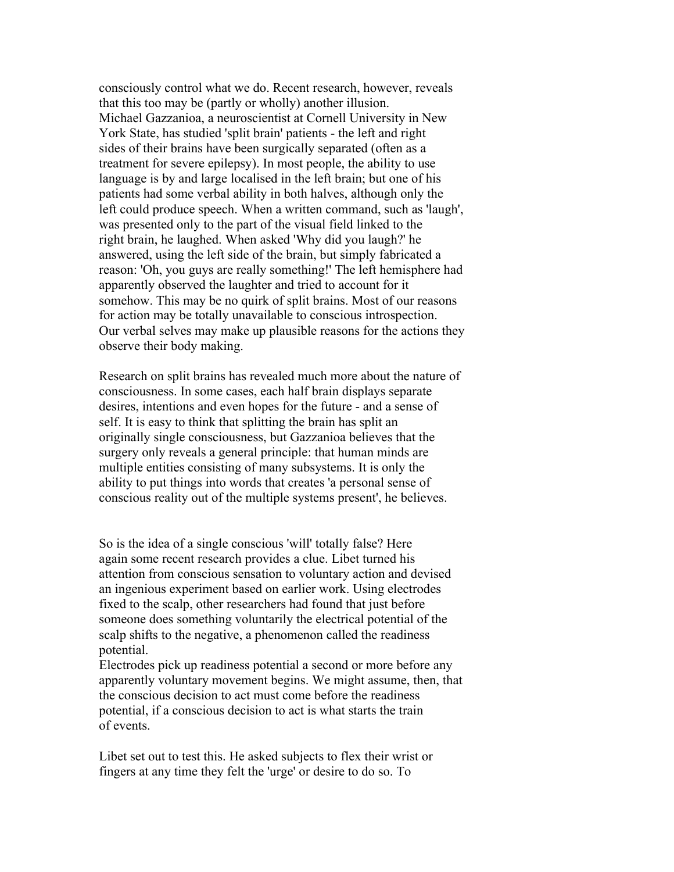consciously control what we do. Recent research, however, reveals that this too may be (partly or wholly) another illusion. Michael Gazzanioa, a neuroscientist at Cornell University in New York State, has studied 'split brain' patients - the left and right sides of their brains have been surgically separated (often as a treatment for severe epilepsy). In most people, the ability to use language is by and large localised in the left brain; but one of his patients had some verbal ability in both halves, although only the left could produce speech. When a written command, such as 'laugh', was presented only to the part of the visual field linked to the right brain, he laughed. When asked 'Why did you laugh?' he answered, using the left side of the brain, but simply fabricated a reason: 'Oh, you guys are really something!' The left hemisphere had apparently observed the laughter and tried to account for it somehow. This may be no quirk of split brains. Most of our reasons for action may be totally unavailable to conscious introspection. Our verbal selves may make up plausible reasons for the actions they observe their body making.

Research on split brains has revealed much more about the nature of consciousness. In some cases, each half brain displays separate desires, intentions and even hopes for the future - and a sense of self. It is easy to think that splitting the brain has split an originally single consciousness, but Gazzanioa believes that the surgery only reveals a general principle: that human minds are multiple entities consisting of many subsystems. It is only the ability to put things into words that creates 'a personal sense of conscious reality out of the multiple systems present', he believes.

So is the idea of a single conscious 'will' totally false? Here again some recent research provides a clue. Libet turned his attention from conscious sensation to voluntary action and devised an ingenious experiment based on earlier work. Using electrodes fixed to the scalp, other researchers had found that just before someone does something voluntarily the electrical potential of the scalp shifts to the negative, a phenomenon called the readiness potential.

Electrodes pick up readiness potential a second or more before any apparently voluntary movement begins. We might assume, then, that the conscious decision to act must come before the readiness potential, if a conscious decision to act is what starts the train of events.

Libet set out to test this. He asked subjects to flex their wrist or fingers at any time they felt the 'urge' or desire to do so. To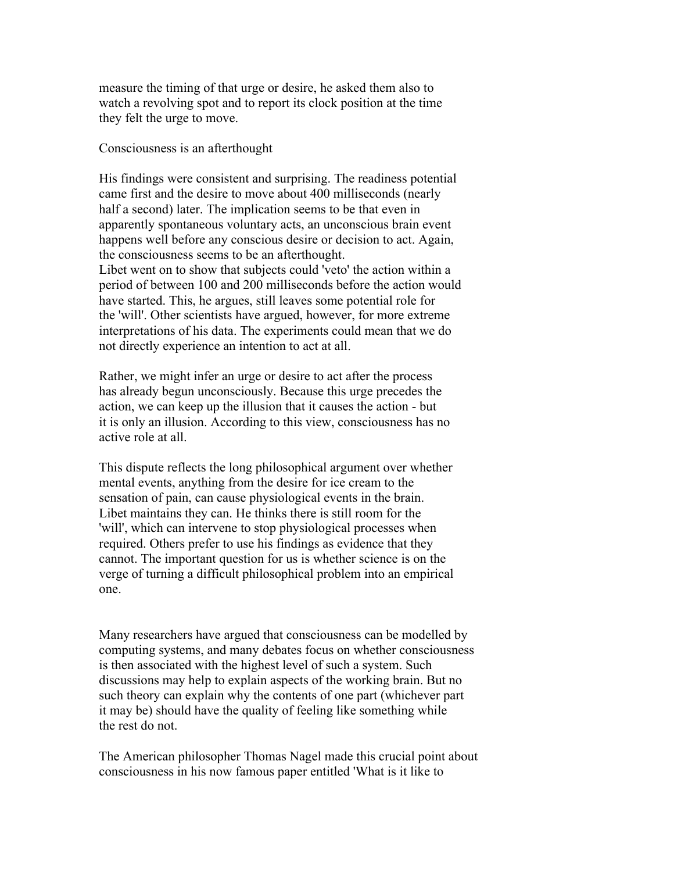measure the timing of that urge or desire, he asked them also to watch a revolving spot and to report its clock position at the time they felt the urge to move.

## Consciousness is an afterthought

His findings were consistent and surprising. The readiness potential came first and the desire to move about 400 milliseconds (nearly half a second) later. The implication seems to be that even in apparently spontaneous voluntary acts, an unconscious brain event happens well before any conscious desire or decision to act. Again, the consciousness seems to be an afterthought.

Libet went on to show that subjects could 'veto' the action within a period of between 100 and 200 milliseconds before the action would have started. This, he argues, still leaves some potential role for the 'will'. Other scientists have argued, however, for more extreme interpretations of his data. The experiments could mean that we do not directly experience an intention to act at all.

Rather, we might infer an urge or desire to act after the process has already begun unconsciously. Because this urge precedes the action, we can keep up the illusion that it causes the action - but it is only an illusion. According to this view, consciousness has no active role at all.

This dispute reflects the long philosophical argument over whether mental events, anything from the desire for ice cream to the sensation of pain, can cause physiological events in the brain. Libet maintains they can. He thinks there is still room for the 'will', which can intervene to stop physiological processes when required. Others prefer to use his findings as evidence that they cannot. The important question for us is whether science is on the verge of turning a difficult philosophical problem into an empirical one.

Many researchers have argued that consciousness can be modelled by computing systems, and many debates focus on whether consciousness is then associated with the highest level of such a system. Such discussions may help to explain aspects of the working brain. But no such theory can explain why the contents of one part (whichever part it may be) should have the quality of feeling like something while the rest do not.

The American philosopher Thomas Nagel made this crucial point about consciousness in his now famous paper entitled 'What is it like to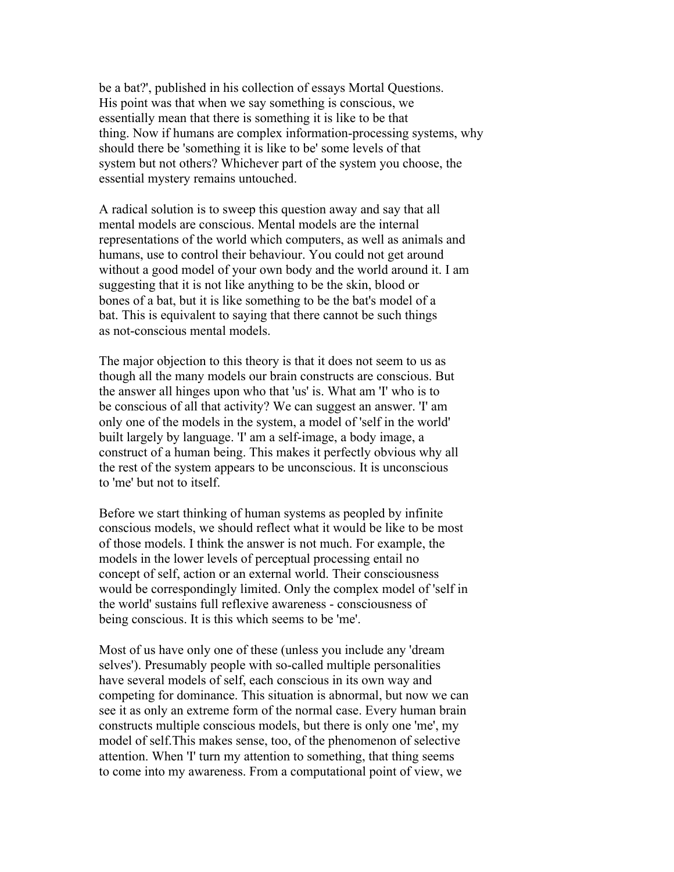be a bat?', published in his collection of essays Mortal Questions. His point was that when we say something is conscious, we essentially mean that there is something it is like to be that thing. Now if humans are complex information-processing systems, why should there be 'something it is like to be' some levels of that system but not others? Whichever part of the system you choose, the essential mystery remains untouched.

A radical solution is to sweep this question away and say that all mental models are conscious. Mental models are the internal representations of the world which computers, as well as animals and humans, use to control their behaviour. You could not get around without a good model of your own body and the world around it. I am suggesting that it is not like anything to be the skin, blood or bones of a bat, but it is like something to be the bat's model of a bat. This is equivalent to saying that there cannot be such things as not-conscious mental models.

The major objection to this theory is that it does not seem to us as though all the many models our brain constructs are conscious. But the answer all hinges upon who that 'us' is. What am 'I' who is to be conscious of all that activity? We can suggest an answer. 'I' am only one of the models in the system, a model of 'self in the world' built largely by language. 'I' am a self-image, a body image, a construct of a human being. This makes it perfectly obvious why all the rest of the system appears to be unconscious. It is unconscious to 'me' but not to itself.

Before we start thinking of human systems as peopled by infinite conscious models, we should reflect what it would be like to be most of those models. I think the answer is not much. For example, the models in the lower levels of perceptual processing entail no concept of self, action or an external world. Their consciousness would be correspondingly limited. Only the complex model of 'self in the world' sustains full reflexive awareness - consciousness of being conscious. It is this which seems to be 'me'.

Most of us have only one of these (unless you include any 'dream selves'). Presumably people with so-called multiple personalities have several models of self, each conscious in its own way and competing for dominance. This situation is abnormal, but now we can see it as only an extreme form of the normal case. Every human brain constructs multiple conscious models, but there is only one 'me', my model of self.This makes sense, too, of the phenomenon of selective attention. When 'I' turn my attention to something, that thing seems to come into my awareness. From a computational point of view, we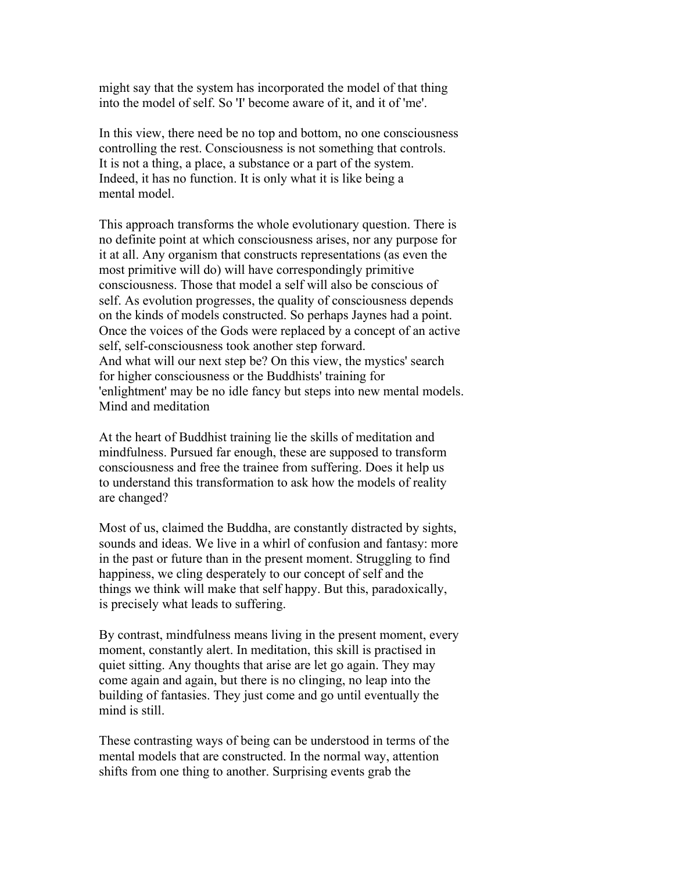might say that the system has incorporated the model of that thing into the model of self. So 'I' become aware of it, and it of 'me'.

In this view, there need be no top and bottom, no one consciousness controlling the rest. Consciousness is not something that controls. It is not a thing, a place, a substance or a part of the system. Indeed, it has no function. It is only what it is like being a mental model.

This approach transforms the whole evolutionary question. There is no definite point at which consciousness arises, nor any purpose for it at all. Any organism that constructs representations (as even the most primitive will do) will have correspondingly primitive consciousness. Those that model a self will also be conscious of self. As evolution progresses, the quality of consciousness depends on the kinds of models constructed. So perhaps Jaynes had a point. Once the voices of the Gods were replaced by a concept of an active self, self-consciousness took another step forward. And what will our next step be? On this view, the mystics' search for higher consciousness or the Buddhists' training for 'enlightment' may be no idle fancy but steps into new mental models. Mind and meditation

At the heart of Buddhist training lie the skills of meditation and mindfulness. Pursued far enough, these are supposed to transform consciousness and free the trainee from suffering. Does it help us to understand this transformation to ask how the models of reality are changed?

Most of us, claimed the Buddha, are constantly distracted by sights, sounds and ideas. We live in a whirl of confusion and fantasy: more in the past or future than in the present moment. Struggling to find happiness, we cling desperately to our concept of self and the things we think will make that self happy. But this, paradoxically, is precisely what leads to suffering.

By contrast, mindfulness means living in the present moment, every moment, constantly alert. In meditation, this skill is practised in quiet sitting. Any thoughts that arise are let go again. They may come again and again, but there is no clinging, no leap into the building of fantasies. They just come and go until eventually the mind is still.

These contrasting ways of being can be understood in terms of the mental models that are constructed. In the normal way, attention shifts from one thing to another. Surprising events grab the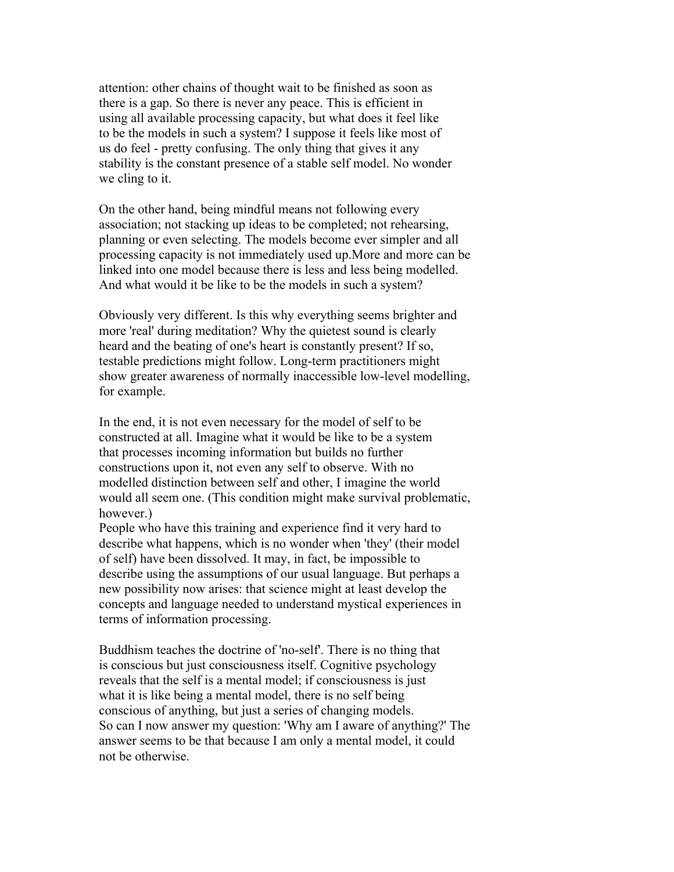attention: other chains of thought wait to be finished as soon as there is a gap. So there is never any peace. This is efficient in using all available processing capacity, but what does it feel like to be the models in such a system? I suppose it feels like most of us do feel - pretty confusing. The only thing that gives it any stability is the constant presence of a stable self model. No wonder we cling to it.

On the other hand, being mindful means not following every association; not stacking up ideas to be completed; not rehearsing, planning or even selecting. The models become ever simpler and all processing capacity is not immediately used up.More and more can be linked into one model because there is less and less being modelled. And what would it be like to be the models in such a system?

Obviously very different. Is this why everything seems brighter and more 'real' during meditation? Why the quietest sound is clearly heard and the beating of one's heart is constantly present? If so, testable predictions might follow. Long-term practitioners might show greater awareness of normally inaccessible low-level modelling, for example.

In the end, it is not even necessary for the model of self to be constructed at all. Imagine what it would be like to be a system that processes incoming information but builds no further constructions upon it, not even any self to observe. With no modelled distinction between self and other, I imagine the world would all seem one. (This condition might make survival problematic, however.)

People who have this training and experience find it very hard to describe what happens, which is no wonder when 'they' (their model of self) have been dissolved. It may, in fact, be impossible to describe using the assumptions of our usual language. But perhaps a new possibility now arises: that science might at least develop the concepts and language needed to understand mystical experiences in terms of information processing.

Buddhism teaches the doctrine of 'no-self'. There is no thing that is conscious but just consciousness itself. Cognitive psychology reveals that the self is a mental model; if consciousness is just what it is like being a mental model, there is no self being conscious of anything, but just a series of changing models. So can I now answer my question: 'Why am I aware of anything?' The answer seems to be that because I am only a mental model, it could not be otherwise.